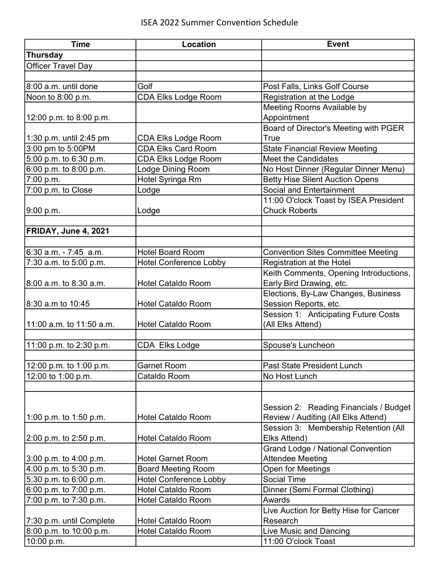| <b>Time</b>               | <b>Location</b>               | <b>Event</b>                              |
|---------------------------|-------------------------------|-------------------------------------------|
| <b>Thursday</b>           |                               |                                           |
| <b>Officer Travel Day</b> |                               |                                           |
|                           |                               |                                           |
| 8:00 a.m. until done      | Golf                          | Post Falls, Links Golf Course             |
| Noon to 8:00 p.m.         | <b>CDA Elks Lodge Room</b>    | Registration at the Lodge                 |
|                           |                               | Meeting Rooms Available by                |
| 12:00 p.m. to 8:00 p.m.   |                               | Appointment                               |
|                           |                               | Board of Director's Meeting with PGER     |
| 1:30 p.m. until 2:45 pm   | <b>CDA Elks Lodge Room</b>    | True                                      |
| 3:00 pm to 5:00PM         | <b>CDA Elks Card Room</b>     | <b>State Financial Review Meeting</b>     |
| 5:00 p.m. to 6:30 p.m.    | <b>CDA Elks Lodge Room</b>    | <b>Meet the Candidates</b>                |
| 6:00 p.m. to 8:00 p.m.    | Lodge Dining Room             | No Host Dinner (Regular Dinner Menu)      |
| 7:00 p.m.                 | Hotel Syringa Rm              | <b>Betty Hise Silent Auction Opens</b>    |
| 7:00 p.m. to Close        | Lodge                         | Social and Entertainment                  |
|                           |                               | 11:00 O'clock Toast by ISEA President     |
| 9:00 p.m.                 | Lodge                         | <b>Chuck Roberts</b>                      |
|                           |                               |                                           |
| FRIDAY, June 4, 2021      |                               |                                           |
|                           |                               |                                           |
| 6:30 a.m. - 7:45 a.m.     | <b>Hotel Board Room</b>       | <b>Convention Sites Committee Meeting</b> |
| 7:30 a.m. to 5:00 p.m.    | <b>Hotel Conference Lobby</b> | Registration at the Hotel                 |
|                           |                               | Keith Comments, Opening Introductions,    |
| 8:00 a.m. to 8:30 a.m.    | <b>Hotel Cataldo Room</b>     | Early Bird Drawing, etc.                  |
|                           |                               | Elections, By-Law Changes, Business       |
| 8:30 a.m to 10:45         | <b>Hotel Cataldo Room</b>     | Session Reports, etc.                     |
|                           |                               | Session 1: Anticipating Future Costs      |
| 11:00 a.m. to 11:50 a.m.  | <b>Hotel Cataldo Room</b>     | (All Elks Attend)                         |
|                           |                               |                                           |
| 11:00 p.m. to 2:30 p.m.   | CDA Elks Lodge                | Spouse's Luncheon                         |
|                           |                               |                                           |
| 12:00 p.m. to 1:00 p.m.   | <b>Garnet Room</b>            | Past State President Lunch                |
| 12:00 to 1:00 p.m.        | Cataldo Room                  | No Host Lunch                             |
|                           |                               |                                           |
|                           |                               |                                           |
|                           |                               | Session 2: Reading Financials / Budget    |
| 1:00 p.m. to 1:50 p.m.    | <b>Hotel Cataldo Room</b>     | Review / Auditing (All Elks Attend)       |
|                           |                               | Session 3: Membership Retention (All      |
| 2:00 p.m. to 2:50 p.m.    | <b>Hotel Cataldo Room</b>     | Elks Attend)                              |
|                           |                               | <b>Grand Lodge / National Convention</b>  |
| 3:00 p.m. to 4:00 p.m.    | <b>Hotel Garnet Room</b>      | <b>Attendee Meeting</b>                   |
| 4:00 p.m. to 5:30 p.m.    | <b>Board Meeting Room</b>     | <b>Open for Meetings</b>                  |
| 5:30 p.m. to 6:00 p.m.    | <b>Hotel Conference Lobby</b> | <b>Social Time</b>                        |
| 6:00 p.m. to 7:00 p.m.    | <b>Hotel Cataldo Room</b>     | Dinner (Semi Formal Clothing)             |
| 7:00 p.m. to 7:30 p.m.    | <b>Hotel Cataldo Room</b>     | Awards                                    |
|                           |                               | Live Auction for Betty Hise for Cancer    |
| 7:30 p.m. until Complete  | <b>Hotel Cataldo Room</b>     | Research                                  |
| 8:00 p.m. to 10:00 p.m.   | <b>Hotel Cataldo Room</b>     | Live Music and Dancing                    |
| 10:00 p.m.                |                               | 11:00 O'clock Toast                       |